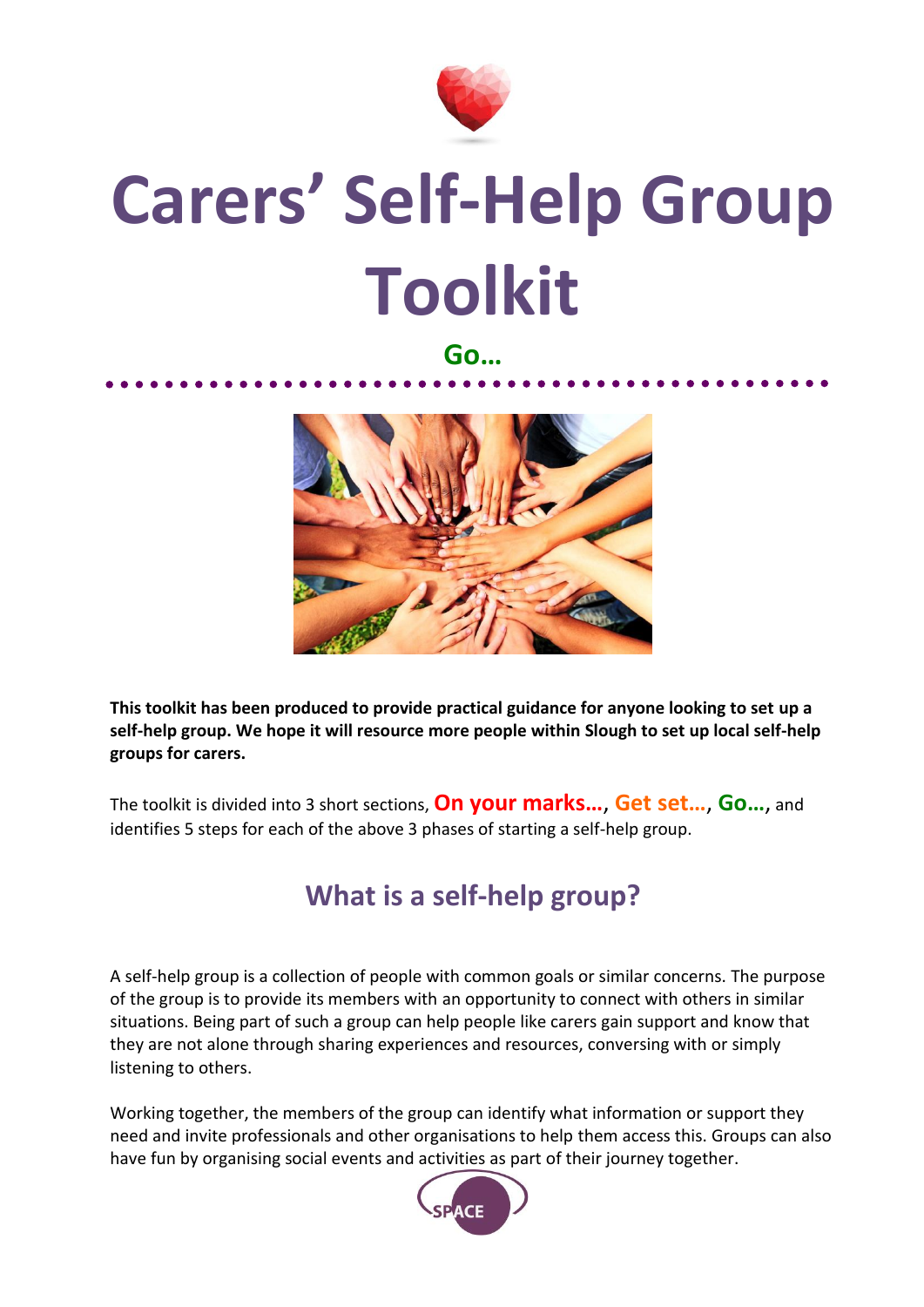

# **Carers' Self-Help Group Toolkit**

#### **Go…**



**This toolkit has been produced to provide practical guidance for anyone looking to set up a self-help group. We hope it will resource more people within Slough to set up local self-help groups for carers.** 

The toolkit is divided into 3 short sections, **On your marks…**, **Get set…**, **Go…**, and identifies 5 steps for each of the above 3 phases of starting a self-help group.

## **What is a self-help group?**

A self-help group is a collection of people with common goals or similar concerns. The purpose of the group is to provide its members with an opportunity to connect with others in similar situations. Being part of such a group can help people like carers gain support and know that they are not alone through sharing experiences and resources, conversing with or simply listening to others.

Working together, the members of the group can identify what information or support they need and invite professionals and other organisations to help them access this. Groups can also have fun by organising social events and activities as part of their journey together.

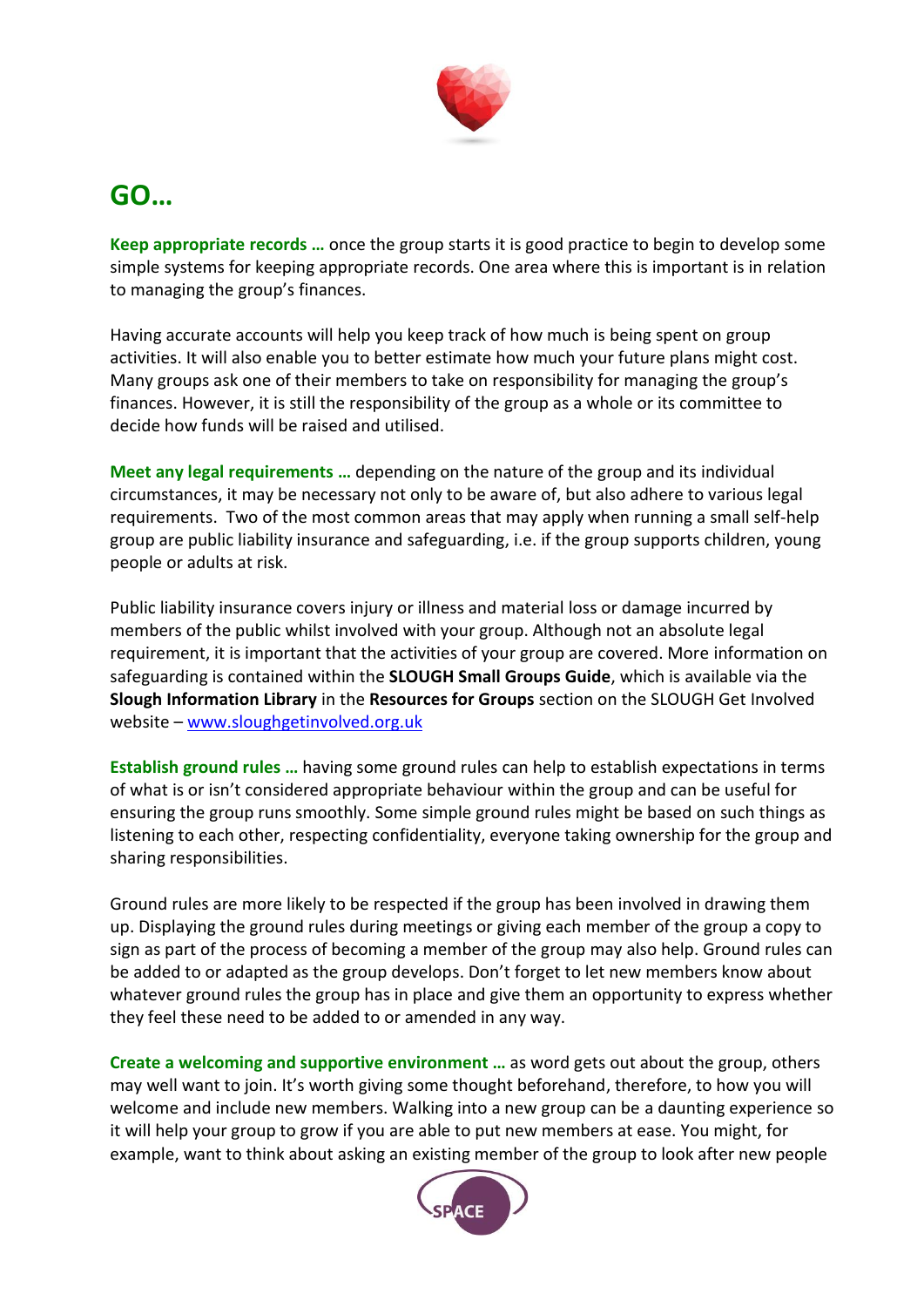

#### **GO…**

**Keep appropriate records …** once the group starts it is good practice to begin to develop some simple systems for keeping appropriate records. One area where this is important is in relation to managing the group's finances.

Having accurate accounts will help you keep track of how much is being spent on group activities. It will also enable you to better estimate how much your future plans might cost. Many groups ask one of their members to take on responsibility for managing the group's finances. However, it is still the responsibility of the group as a whole or its committee to decide how funds will be raised and utilised.

**Meet any legal requirements …** depending on the nature of the group and its individual circumstances, it may be necessary not only to be aware of, but also adhere to various legal requirements. Two of the most common areas that may apply when running a small self-help group are public liability insurance and safeguarding, i.e. if the group supports children, young people or adults at risk.

Public liability insurance covers injury or illness and material loss or damage incurred by members of the public whilst involved with your group. Although not an absolute legal requirement, it is important that the activities of your group are covered. More information on safeguarding is contained within the **SLOUGH Small Groups Guide**, which is available via the **Slough Information Library** in the **Resources for Groups** section on the SLOUGH Get Involved website – [www.sloughgetinvolved.org.uk](http://www.sloughgetinvolved.org.uk/)

**Establish ground rules …** having some ground rules can help to establish expectations in terms of what is or isn't considered appropriate behaviour within the group and can be useful for ensuring the group runs smoothly. Some simple ground rules might be based on such things as listening to each other, respecting confidentiality, everyone taking ownership for the group and sharing responsibilities.

Ground rules are more likely to be respected if the group has been involved in drawing them up. Displaying the ground rules during meetings or giving each member of the group a copy to sign as part of the process of becoming a member of the group may also help. Ground rules can be added to or adapted as the group develops. Don't forget to let new members know about whatever ground rules the group has in place and give them an opportunity to express whether they feel these need to be added to or amended in any way.

**Create a welcoming and supportive environment …** as word gets out about the group, others may well want to join. It's worth giving some thought beforehand, therefore, to how you will welcome and include new members. Walking into a new group can be a daunting experience so it will help your group to grow if you are able to put new members at ease. You might, for example, want to think about asking an existing member of the group to look after new people

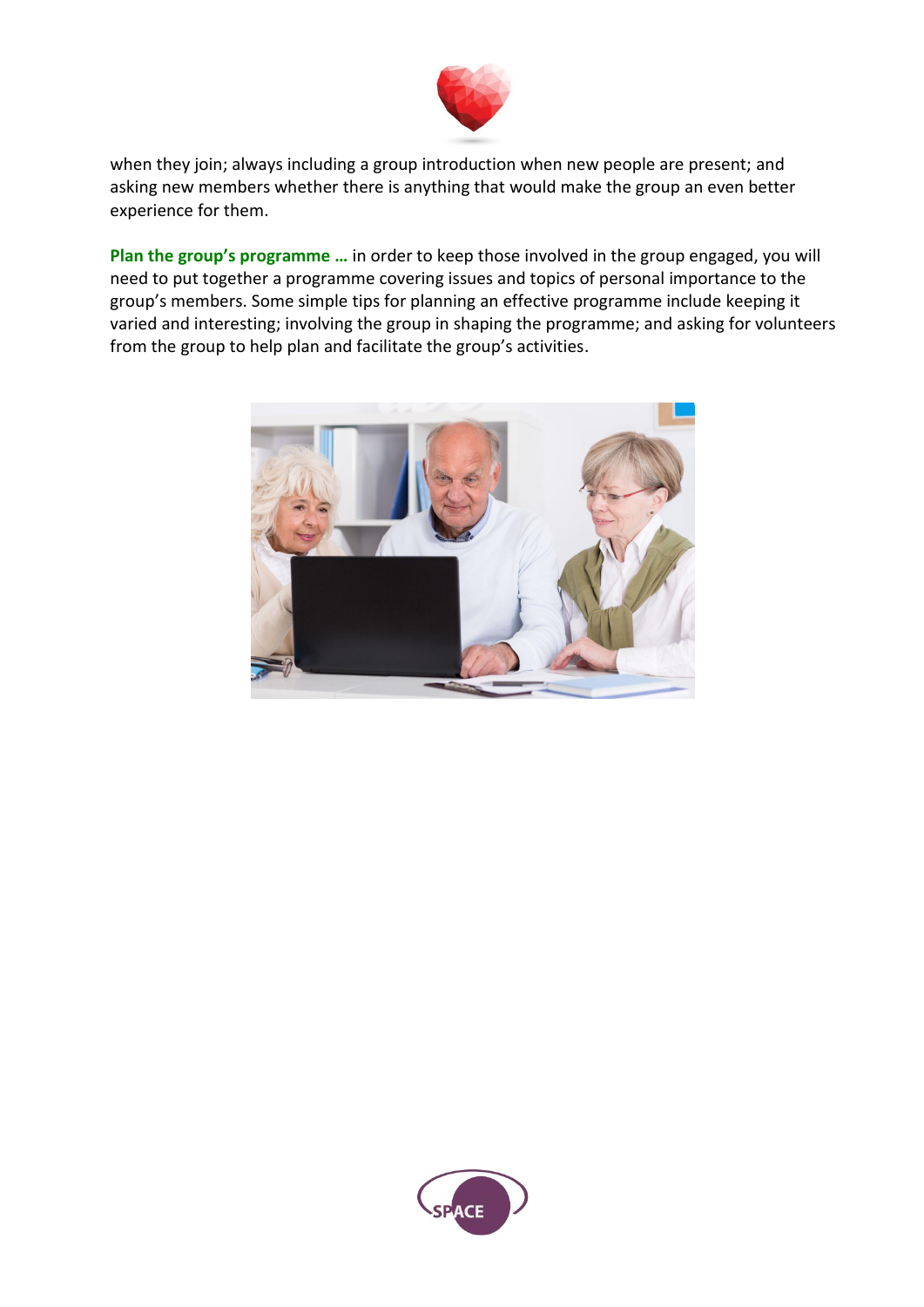

when they join; always including a group introduction when new people are present; and asking new members whether there is anything that would make the group an even better experience for them.

**Plan the group's programme …** in order to keep those involved in the group engaged, you will need to put together a programme covering issues and topics of personal importance to the group's members. Some simple tips for planning an effective programme include keeping it varied and interesting; involving the group in shaping the programme; and asking for volunteers from the group to help plan and facilitate the group's activities.